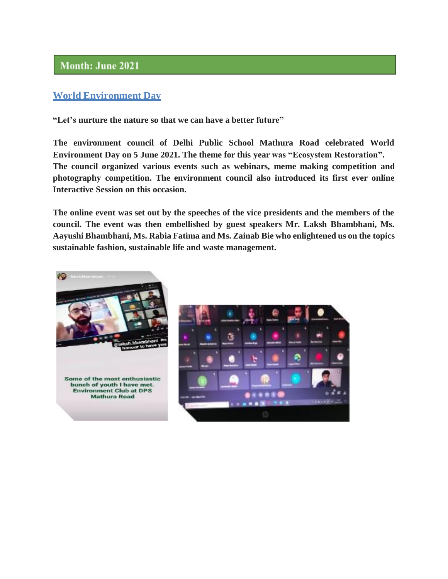# Month: June 2021

## **World Environment Day**

**"Let's nurture the nature so that we can have a better future"**

**The environment council of Delhi Public School Mathura Road celebrated World Environment Day on 5 June 2021. The theme for this year was "Ecosystem Restoration". The council organized various events such as webinars, meme making competition and photography competition. The environment council also introduced its first ever online Interactive Session on this occasion.**

**The online event was set out by the speeches of the vice presidents and the members of the council. The event was then embellished by guest speakers Mr. Laksh Bhambhani, Ms. Aayushi Bhambhani, Ms. Rabia Fatima and Ms. Zainab Bie who enlightened us on the topics sustainable fashion, sustainable life and waste management.**



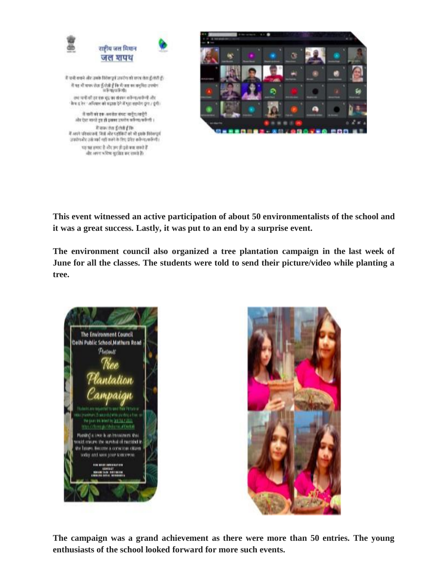

**This event witnessed an active participation of about 50 environmentalists of the school and it was a great success. Lastly, it was put to an end by a surprise event.**

**The environment council also organized a tree plantation campaign in the last week of June for all the classes. The students were told to send their picture/video while planting a tree.**





**The campaign was a grand achievement as there were more than 50 entries. The young enthusiasts of the school looked forward for more such events.**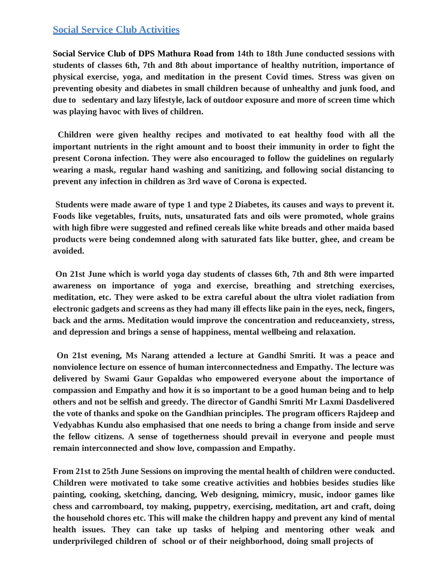### **Social Service Club Activities**

**Social Service Club of DPS Mathura Road from 14th to 18th June conducted sessions with students of classes 6th, 7th and 8th about importance of healthy nutrition, importance of physical exercise, yoga, and meditation in the present Covid times. Stress was given on preventing obesity and diabetes in small children because of unhealthy and junk food, and due to sedentary and lazy lifestyle, lack of outdoor exposure and more of screen time which was playing havoc with lives of children.**

**Children were given healthy recipes and motivated to eat healthy food with all the important nutrients in the right amount and to boost their immunity in order to fight the present Corona infection. They were also encouraged to follow the guidelines on regularly wearing a mask, regular hand washing and sanitizing, and following social distancing to prevent any infection in children as 3rd wave of Corona is expected.**

**Students were made aware of type 1 and type 2 Diabetes, its causes and ways to prevent it. Foods like vegetables, fruits, nuts, unsaturated fats and oils were promoted, whole grains with high fibre were suggested and refined cereals like white breads and other maida based products were being condemned along with saturated fats like butter, ghee, and cream be avoided.**

**On 21st June which is world yoga day students of classes 6th, 7th and 8th were imparted awareness on importance of yoga and exercise, breathing and stretching exercises, meditation, etc. They were asked to be extra careful about the ultra violet radiation from electronic gadgets and screens as they had many ill effects like pain in the eyes, neck, fingers, back and the arms. Meditation would improve the concentration and reduceanxiety, stress, and depression and brings a sense of happiness, mental wellbeing and relaxation.**

**On 21st evening, Ms Narang attended a lecture at Gandhi Smriti. It was a peace and nonviolence lecture on essence of human interconnectedness and Empathy. The lecture was delivered by Swami Gaur Gopaldas who empowered everyone about the importance of compassion and Empathy and how it is so important to be a good human being and to help others and not be selfish and greedy. The director of Gandhi Smriti Mr Laxmi Dasdelivered the vote of thanks and spoke on the Gandhian principles. The program officers Rajdeep and Vedyabhas Kundu also emphasised that one needs to bring a change from inside and serve the fellow citizens. A sense of togetherness should prevail in everyone and people must remain interconnected and show love, compassion and Empathy.**

**From 21st to 25th June Sessions on improving the mental health of children were conducted. Children were motivated to take some creative activities and hobbies besides studies like painting, cooking, sketching, dancing, Web designing, mimicry, music, indoor games like chess and carromboard, toy making, puppetry, exercising, meditation, art and craft, doing the household chores etc. This will make the children happy and prevent any kind of mental health issues. They can take up tasks of helping and mentoring other weak and underprivileged children of school or of their neighborhood, doing small projects of**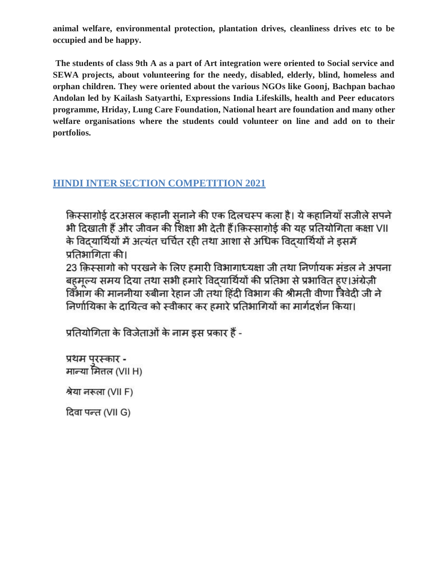**animal welfare, environmental protection, plantation drives, cleanliness drives etc to be occupied and be happy.**

**The students of class 9th A as a part of Art integration were oriented to Social service and SEWA projects, about volunteering for the needy, disabled, elderly, blind, homeless and orphan children. They were oriented about the various NGOs like Goonj, Bachpan bachao Andolan led by Kailash Satyarthi, Expressions India Lifeskills, health and Peer educators programme, Hriday, Lung Care Foundation, National heart are foundation and many other welfare organisations where the students could volunteer on line and add on to their portfolios.**

# **HINDI INTER SECTION COMPETITION 2021**

किस्सागोर्ड दरअसल कहानी सनाने की एक दिलचस्प कला है। ये कहानियाँ सजीले सपने भी दिखाती हैं और जीवन की शिक्षा भी देती हैं।किस्सागोई की यह प्रतियोगिता कक्षा VII के विदयार्थियों में अत्यंत चर्चित रही तथा आशा से अधिक विदयार्थियों ने इसमें प्रतिभागिता की।

23 क़िस्सागो को परखने के लिए हमारी विभागाध्यक्षा जी तथा निर्णायक मंडल ने अपना बहमूल्य समय दिया तथा सभी हमारे विद्यार्थियों की प्रतिभा से प्रभावित हुए।अंग्रेज़ी विभाग की माननीया रुबीना रेहान जी तथा हिंदी विभाग की श्रीमती वीणा त्रिवेदी जी ने निर्णायिका के दायित्व को स्वीकार कर हमारे प्रतिभागियों का मार्गदर्शन किया।

प्रतियोगिता के विजेताओं के नाम इस प्रकार हैं -

प्रथम परस्कार -मान्या मित्तल (VII H)

श्रेया नरूला (VII F)

दिवा पन्त (VII G)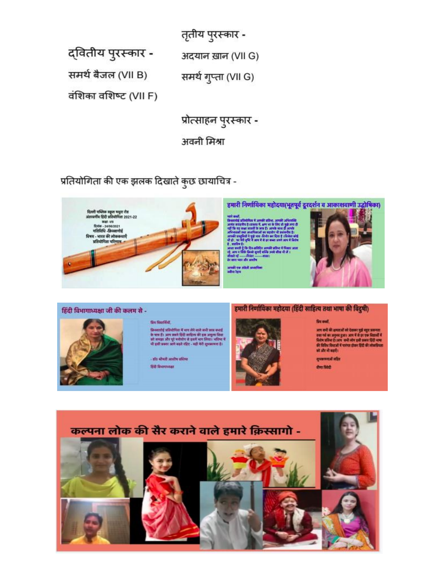तृतीय पुरस्कार -

द्वितीय पुरस्कार -

समर्थ बैजल (VII B)

अदयान ख़ान (VII G) समर्थ गुप्ता (VII G)

वंशिका वशिष्ट (VII F)

प्रोत्साहन पुरस्कार -अवनी मिश्रा

प्रतियोगिता की एक झलक दिखाते कुछ छायाचित्र -



हमारी निर्णायिका महोदया(भूतपूर्व दूरदर्शन व आकाशवाणी उद्घोषिका)

।<br>किसेमित में अपनी प्रतिन, आपकी<br>जब्रा सप्तरों के प्राप्त हैं। अपके साथ।<br>जब्रा सप्तरों के प्राप्त हैं। अपके साथ।

।<br>सन्दर्भ में संस्कृति



# हिंदी विभागाध्यक्षा जी की कलम से -



Six Staffort,

किस्तामीई समितीनिया में भाग लेने वाले कभी भाग कथाई<br>के चांस हैं। आप सबसे दिंदी साहित्य की इस अनुस्थ मिथा<br>को समझा और पूरे बनोबीन से इसमें भाग लिया। अधिक में<br>भी इसी प्रकार आगे बढ़ते रहिए - यही मेंटी शुभकाषना है।

- डॉव ऑनली आसीम वसिम्ब **BO SHIMMAR** 

#### हमारी निर्णायिका महोदया (हिंदी साहित्य तथा भाषा की विदुषी)



fire end,

आप सभी की क्षमताओं को देशकर मुझे बहुत प्रसन्नता<br>उद्या गर्व का अनुस्त हुआ। अपने में से इस एक विद्यार्थों में<br>सिरोप प्रतिस है। आप 'सभी लोग इसी प्रकार हिंदी चाफ<br>की विद्यिप विभाजों में पारंपत होकर हिंदी की लोकप्रियता को और भी बढाएँ।

शुभाषणमें सहित ਰੀਸ਼ ਜ਼ਿਰੇਹੀ

कल्पना लोक की सैर कराने वाले हमारे क़िस्सागो -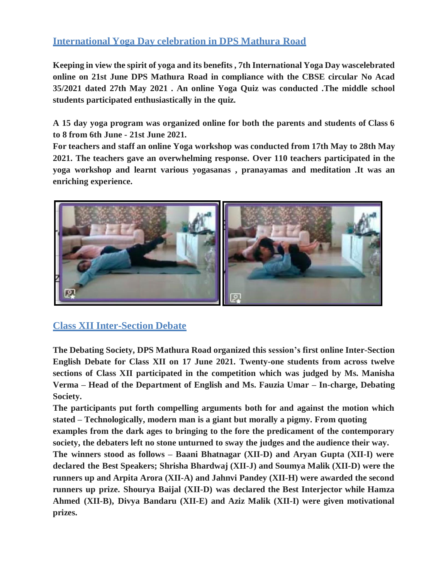# **International Yoga Day celebration in DPS Mathura Road**

**Keeping in view the spirit of yoga and its benefits , 7th International Yoga Day wascelebrated online on 21st June DPS Mathura Road in compliance with the CBSE circular No Acad 35/2021 dated 27th May 2021 . An online Yoga Quiz was conducted .The middle school students participated enthusiastically in the quiz.**

**A 15 day yoga program was organized online for both the parents and students of Class 6 to 8 from 6th June - 21st June 2021.**

**For teachers and staff an online Yoga workshop was conducted from 17th May to 28th May 2021. The teachers gave an overwhelming response. Over 110 teachers participated in the yoga workshop and learnt various yogasanas , pranayamas and meditation .It was an enriching experience.**



# **Class XII Inter-Section Debate**

**The Debating Society, DPS Mathura Road organized this session's first online Inter-Section English Debate for Class XII on 17 June 2021. Twenty-one students from across twelve sections of Class XII participated in the competition which was judged by Ms. Manisha Verma – Head of the Department of English and Ms. Fauzia Umar – In-charge, Debating Society.**

**The participants put forth compelling arguments both for and against the motion which stated – Technologically, modern man is a giant but morally a pigmy. From quoting**

**examples from the dark ages to bringing to the fore the predicament of the contemporary society, the debaters left no stone unturned to sway the judges and the audience their way.**

**The winners stood as follows – Baani Bhatnagar (XII-D) and Aryan Gupta (XII-I) were declared the Best Speakers; Shrisha Bhardwaj (XII-J) and Soumya Malik (XII-D) were the runners up and Arpita Arora (XII-A) and Jahnvi Pandey (XII-H) were awarded the second runners up prize. Shourya Baijal (XII-D) was declared the Best Interjector while Hamza Ahmed (XII-B), Divya Bandaru (XII-E) and Aziz Malik (XII-I) were given motivational prizes.**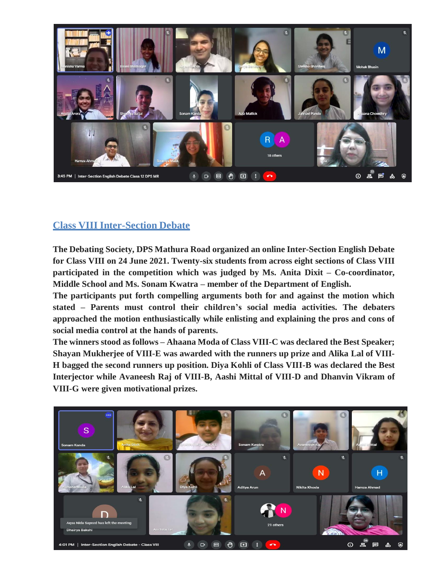

## **Class VIII Inter-Section Debate**

**The Debating Society, DPS Mathura Road organized an online Inter-Section English Debate for Class VIII on 24 June 2021. Twenty-six students from across eight sections of Class VIII participated in the competition which was judged by Ms. Anita Dixit – Co-coordinator, Middle School and Ms. Sonam Kwatra – member of the Department of English.**

**The participants put forth compelling arguments both for and against the motion which stated – Parents must control their children's social media activities. The debaters approached the motion enthusiastically while enlisting and explaining the pros and cons of social media control at the hands of parents.**

**The winners stood as follows – Ahaana Moda of Class VIII-C was declared the Best Speaker; Shayan Mukherjee of VIII-E was awarded with the runners up prize and Alika Lal of VIII-H bagged the second runners up position. Diya Kohli of Class VIII-B was declared the Best Interjector while Avaneesh Raj of VIII-B, Aashi Mittal of VIII-D and Dhanvin Vikram of VIII-G were given motivational prizes.**